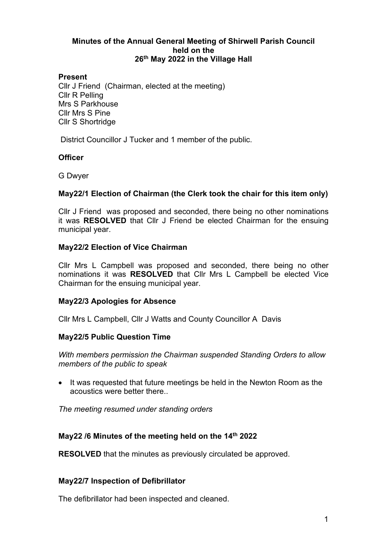### **Minutes of the Annual General Meeting of Shirwell Parish Council held on the 26th May 2022 in the Village Hall**

## **Present**

Cllr J Friend (Chairman, elected at the meeting) Cllr R Pelling Mrs S Parkhouse Cllr Mrs S Pine Cllr S Shortridge

District Councillor J Tucker and 1 member of the public.

## **Officer**

G Dwyer

## **May22/1 Election of Chairman (the Clerk took the chair for this item only)**

Cllr J Friend was proposed and seconded, there being no other nominations it was **RESOLVED** that Cllr J Friend be elected Chairman for the ensuing municipal year.

### **May22/2 Election of Vice Chairman**

Cllr Mrs L Campbell was proposed and seconded, there being no other nominations it was **RESOLVED** that Cllr Mrs L Campbell be elected Vice Chairman for the ensuing municipal year.

### **May22/3 Apologies for Absence**

Cllr Mrs L Campbell, Cllr J Watts and County Councillor A Davis

### **May22/5 Public Question Time**

*With members permission the Chairman suspended Standing Orders to allow members of the public to speak*

• It was requested that future meetings be held in the Newton Room as the acoustics were better there..

*The meeting resumed under standing orders*

### **May22 /6 Minutes of the meeting held on the 14th 2022**

**RESOLVED** that the minutes as previously circulated be approved.

### **May22/7 Inspection of Defibrillator**

The defibrillator had been inspected and cleaned.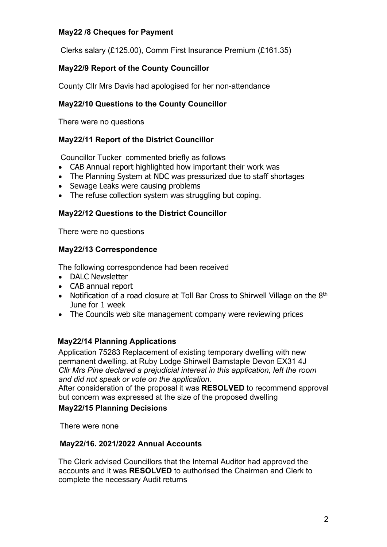## **May22 /8 Cheques for Payment**

Clerks salary (£125.00), Comm First Insurance Premium (£161.35)

# **May22/9 Report of the County Councillor**

County Cllr Mrs Davis had apologised for her non-attendance

# **May22/10 Questions to the County Councillor**

There were no questions

## **May22/11 Report of the District Councillor**

Councillor Tucker commented briefly as follows

- CAB Annual report highlighted how important their work was
- The Planning System at NDC was pressurized due to staff shortages
- Sewage Leaks were causing problems
- The refuse collection system was struggling but coping.

## **May22/12 Questions to the District Councillor**

There were no questions

### **May22/13 Correspondence**

The following correspondence had been received

- DALC Newsletter
- CAB annual report
- Notification of a road closure at Toll Bar Cross to Shirwell Village on the 8<sup>th</sup> June for 1 week
- The Councils web site management company were reviewing prices

## **May22/14 Planning Applications**

Application 75283 Replacement of existing temporary dwelling with new permanent dwelling. at Ruby Lodge Shirwell Barnstaple Devon EX31 4J *Cllr Mrs Pine declared a prejudicial interest in this application, left the room and did not speak or vote on the application.*

After consideration of the proposal it was **RESOLVED** to recommend approval but concern was expressed at the size of the proposed dwelling

### **May22/15 Planning Decisions**

There were none

### **May22/16. 2021/2022 Annual Accounts**

The Clerk advised Councillors that the Internal Auditor had approved the accounts and it was **RESOLVED** to authorised the Chairman and Clerk to complete the necessary Audit returns